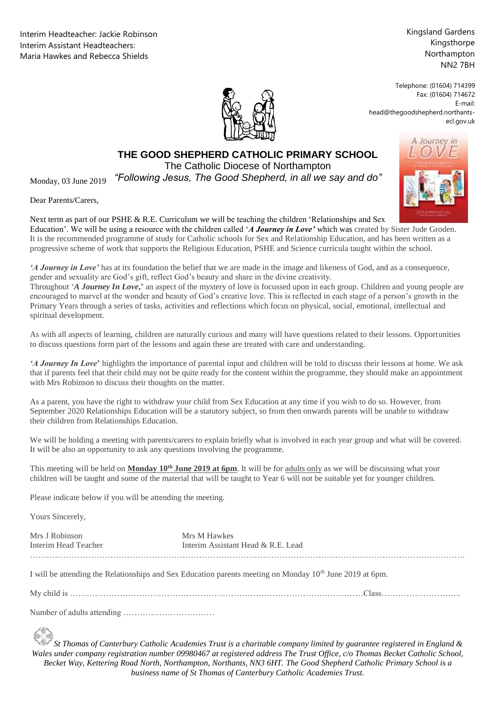Interim Headteacher: Jackie Robinson Interim Assistant Headteachers: Maria Hawkes and Rebecca Shields

Kingsland Gardens Kingsthorpe Northampton NN2 7BH

Telephone: (01604) 714399 Fax: (01604) 714672 E-mail: head@thegoodshepherd.northantsecl.gov.uk



## **THE GOOD SHEPHERD CATHOLIC PRIMARY SCHOOL**

The Catholic Diocese of Northampton

Catholic Diocese of Northampton *"Following Jesus, The Good Shepherd, in all we say and do"*

Dear Parents/Carers,

Monday, 03 June 2019

Next term as part of our PSHE & R.E. Curriculum we will be teaching the children 'Relationships and Sex Education'. We will be using a resource with the children called '*A Journey in Love'* which was created by Sister Jude Groden. It is the recommended programme of study for Catholic schools for Sex and Relationship Education, and has been written as a progressive scheme of work that supports the Religious Education, PSHE and Science curricula taught within the school.

*'A Journey in Love'* has at its foundation the belief that we are made in the image and likeness of God, and as a consequence, gender and sexuality are God's gift, reflect God's beauty and share in the divine creativity.

Throughout '*A Journey In Love***,'** an aspect of the mystery of love is focussed upon in each group. Children and young people are encouraged to marvel at the wonder and beauty of God's creative love. This is reflected in each stage of a person's growth in the Primary Years through a series of tasks, activities and reflections which focus on physical, social, emotional, intellectual and spiritual development.

As with all aspects of learning, children are naturally curious and many will have questions related to their lessons. Opportunities to discuss questions form part of the lessons and again these are treated with care and understanding.

*'A Journey In Love***'** highlights the importance of parental input and children will be told to discuss their lessons at home. We ask that if parents feel that their child may not be quite ready for the content within the programme, they should make an appointment with Mrs Robinson to discuss their thoughts on the matter.

As a parent, you have the right to withdraw your child from Sex Education at any time if you wish to do so. However, from September 2020 Relationships Education will be a statutory subject, so from then onwards parents will be unable to withdraw their children from Relationships Education.

We will be holding a meeting with parents/carers to explain briefly what is involved in each year group and what will be covered. It will be also an opportunity to ask any questions involving the programme.

This meeting will be held on **Monday 10<sup>th</sup> June 2019 at 6pm**. It will be for adults only as we will be discussing what your children will be taught and some of the material that will be taught to Year 6 will not be suitable yet for younger children.

Please indicate below if you will be attending the meeting.

Yours Sincerely,

| Mrs J Robinson       | Mrs M Hawkes                       |
|----------------------|------------------------------------|
| Interim Head Teacher | Interim Assistant Head & R.E. Lead |
|                      |                                    |

I will be attending the Relationships and Sex Education parents meeting on Monday 10<sup>th</sup> June 2019 at 6pm.

My child is ……………………………………………………………………………….……………Class………………………..

Number of adults attending ……………………………

*St Thomas of Canterbury Catholic Academies Trust is a charitable company limited by guarantee registered in England & Wales under company registration number 09980467 at registered address The Trust Office, c/o Thomas Becket Catholic School, Becket Way, Kettering Road North, Northampton, Northants, NN3 6HT. The Good Shepherd Catholic Primary School is a business name of St Thomas of Canterbury Catholic Academies Trust.*